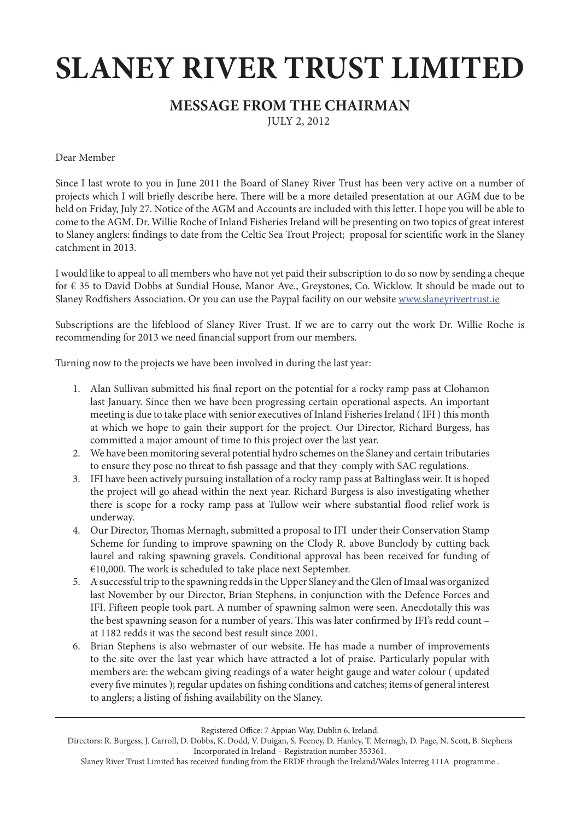## **SLANEY RIVER TRUST LIMITED**

## **MESSAGE FROM THE CHAIRMAN**

JULY 2, 2012

Dear Member

Since I last wrote to you in June 2011 the Board of Slaney River Trust has been very active on a number of projects which I will briefly describe here. There will be a more detailed presentation at our AGM due to be held on Friday, July 27. Notice of the AGM and Accounts are included with this letter. I hope you will be able to come to the AGM. Dr. Willie Roche of Inland Fisheries Ireland will be presenting on two topics of great interest to Slaney anglers: findings to date from the Celtic Sea Trout Project; proposal for scientific work in the Slaney catchment in 2013.

I would like to appeal to all members who have not yet paid their subscription to do so now by sending a cheque for € 35 to David Dobbs at Sundial House, Manor Ave., Greystones, Co. Wicklow. It should be made out to Slaney Rodfishers Association. Or you can use the Paypal facility on our website www.slaneyrivertrust.ie

Subscriptions are the lifeblood of Slaney River Trust. If we are to carry out the work Dr. Willie Roche is recommending for 2013 we need financial support from our members.

Turning now to the projects we have been involved in during the last year:

- 1. Alan Sullivan submitted his final report on the potential for a rocky ramp pass at Clohamon last January. Since then we have been progressing certain operational aspects. An important meeting is due to take place with senior executives of Inland Fisheries Ireland ( IFI ) this month at which we hope to gain their support for the project. Our Director, Richard Burgess, has committed a major amount of time to this project over the last year.
- 2. We have been monitoring several potential hydro schemes on the Slaney and certain tributaries to ensure they pose no threat to fish passage and that they comply with SAC regulations.
- 3. IFI have been actively pursuing installation of a rocky ramp pass at Baltinglass weir. It is hoped the project will go ahead within the next year. Richard Burgess is also investigating whether there is scope for a rocky ramp pass at Tullow weir where substantial flood relief work is underway.
- 4. Our Director, Thomas Mernagh, submitted a proposal to IFI under their Conservation Stamp Scheme for funding to improve spawning on the Clody R. above Bunclody by cutting back laurel and raking spawning gravels. Conditional approval has been received for funding of €10,000. The work is scheduled to take place next September.
- 5. A successful trip to the spawning redds in the Upper Slaney and the Glen of Imaal was organized last November by our Director, Brian Stephens, in conjunction with the Defence Forces and IFI. Fifteen people took part. A number of spawning salmon were seen. Anecdotally this was the best spawning season for a number of years. This was later confirmed by IFI's redd count – at 1182 redds it was the second best result since 2001.
- 6. Brian Stephens is also webmaster of our website. He has made a number of improvements to the site over the last year which have attracted a lot of praise. Particularly popular with members are: the webcam giving readings of a water height gauge and water colour ( updated every five minutes ); regular updates on fishing conditions and catches; items of general interest to anglers; a listing of fishing availability on the Slaney.

Registered Office: 7 Appian Way, Dublin 6, Ireland.

Directors: R. Burgess, J. Carroll, D. Dobbs, K. Dodd, V. Duigan, S. Feeney, D. Hanley, T. Mernagh, D. Page, N. Scott, B. Stephens Incorporated in Ireland – Registration number 353361.

Slaney River Trust Limited has received funding from the ERDF through the Ireland/Wales Interreg 111A programme .